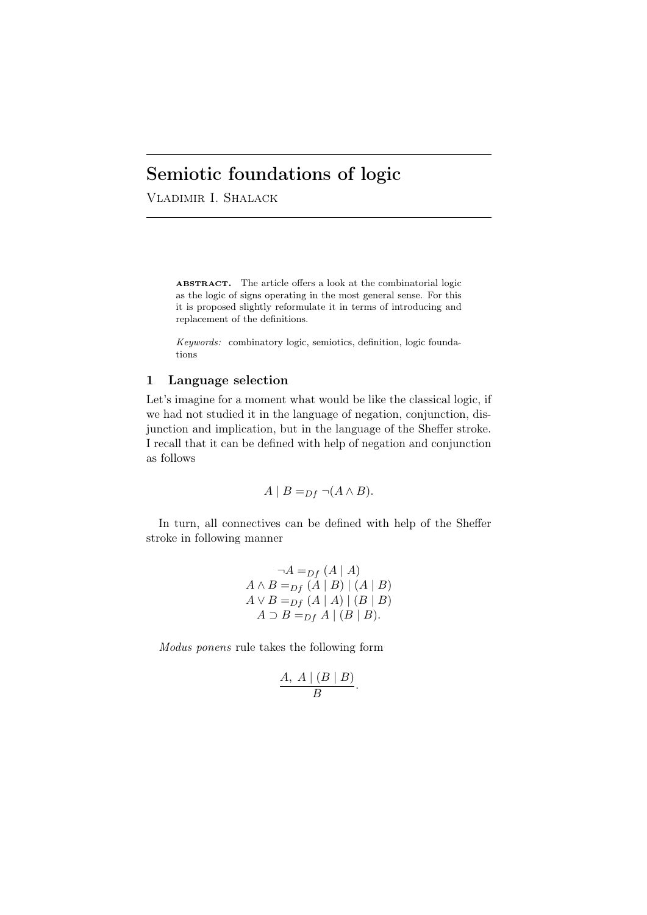# Semiotic foundations of logic

Vladimir I. Shalack

ABSTRACT. The article offers a look at the combinatorial logic as the logic of signs operating in the most general sense. For this it is proposed slightly reformulate it in terms of introducing and replacement of the definitions.

*Keywords:* combinatory logic, semiotics, definition, logic foundations

# 1 Language selection

Let's imagine for a moment what would be like the classical logic, if we had not studied it in the language of negation, conjunction, disjunction and implication, but in the language of the Sheffer stroke. I recall that it can be defined with help of negation and conjunction as follows

$$
A \mid B =_{Df} \neg(A \land B).
$$

In turn, all connectives can be defined with help of the Sheffer stroke in following manner

$$
\neg A =_{Df} (A \mid A)
$$
  
\n
$$
A \land B =_{Df} (A \mid B) \mid (A \mid B)
$$
  
\n
$$
A \lor B =_{Df} (A \mid A) \mid (B \mid B)
$$
  
\n
$$
A \supset B =_{Df} A \mid (B \mid B).
$$

*Modus ponens* rule takes the following form

$$
\frac{A, A \mid (B \mid B)}{B}.
$$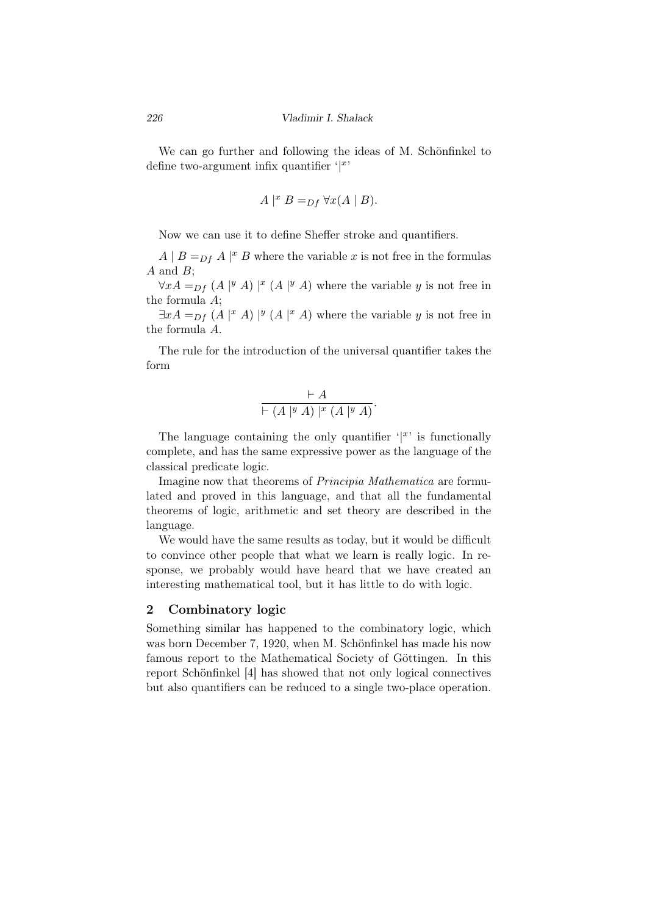We can go further and following the ideas of M. Schönfinkel to define two-argument infix quantifier '*| x* '

$$
A \mid^x B =_{Df} \forall x (A \mid B).
$$

Now we can use it to define Sheffer stroke and quantifiers.

 $A \mid B =_{Df} A \mid x \in B$  where the variable *x* is not free in the formulas *A* and *B*;

*∀xA* = $p_f$  (*A* |<sup>*y*</sup> *A*) |<sup>*x*</sup> (*A* |<sup>*y*</sup> *A*) where the variable *y* is not free in the formula *A*;

 $\exists x A =_{Df} (A \mid x A) \mid y (A \mid x A)$  where the variable *y* is not free in the formula *A*.

The rule for the introduction of the universal quantifier takes the form

$$
\frac{\vdash A}{\vdash (A \mid y \land A) \mid^x (A \mid^y A)}.
$$

The language containing the only quantifier  $\langle x \rangle$  is functionally complete, and has the same expressive power as the language of the classical predicate logic.

Imagine now that theorems of *Principia Mathematica* are formulated and proved in this language, and that all the fundamental theorems of logic, arithmetic and set theory are described in the language.

We would have the same results as today, but it would be difficult to convince other people that what we learn is really logic. In response, we probably would have heard that we have created an interesting mathematical tool, but it has little to do with logic.

#### 2 Combinatory logic

Something similar has happened to the combinatory logic, which was born December 7, 1920, when M. Schönfinkel has made his now famous report to the Mathematical Society of Göttingen. In this report Schönfinkel [4] has showed that not only logical connectives but also quantifiers can be reduced to a single two-place operation.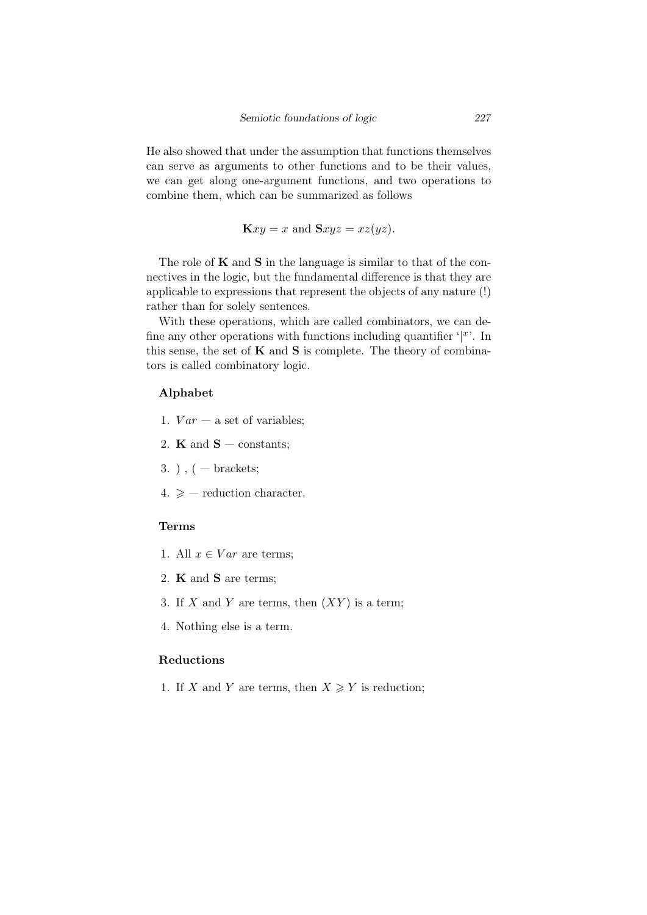He also showed that under the assumption that functions themselves can serve as arguments to other functions and to be their values, we can get along one-argument functions, and two operations to combine them, which can be summarized as follows

 $\mathbf{K}xy = x$  and  $\mathbf{S}xyz = xz(yz)$ .

The role of  $K$  and  $S$  in the language is similar to that of the connectives in the logic, but the fundamental difference is that they are applicable to expressions that represent the objects of any nature (!) rather than for solely sentences.

With these operations, which are called combinators, we can define any other operations with functions including quantifier  $\frac{f}{f}$ . In this sense, the set of  $K$  and  $S$  is complete. The theory of combinators is called combinatory logic.

#### Alphabet

- 1.  $Var a$  set of variables;
- 2. **K** and  $S$  constants;
- $3.$ ),  $($  brackets;
- $4. \geq$  reduction character.

### Terms

- 1. All  $x \in Var$  are terms;
- 2. K and S are terms;
- 3. If  $X$  and  $Y$  are terms, then  $(XY)$  is a term;
- 4. Nothing else is a term.

# Reductions

1. If *X* and *Y* are terms, then  $X \ge Y$  is reduction;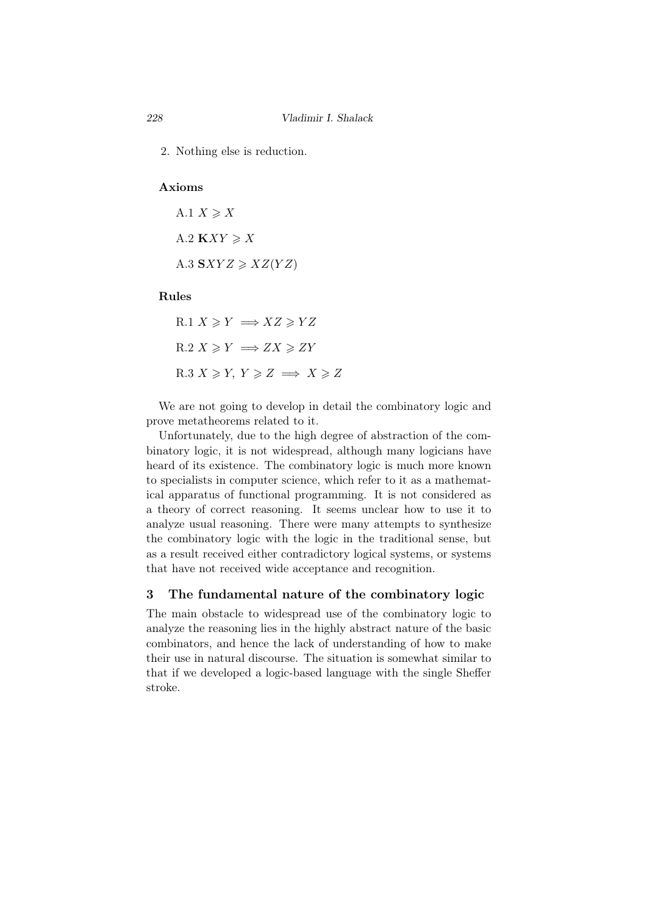2. Nothing else is reduction.

# Axioms

A.1  $X \geqslant X$ A.2  $KXY \geqslant X$  $A.3$   $SXYZ \geq XZ(YZ)$ 

## Rules

R.1 
$$
X \ge Y \implies XZ \ge YZ
$$
  
R.2  $X \ge Y \implies ZX \ge ZY$   
R.3  $X \ge Y, Y \ge Z \implies X \ge Z$ 

We are not going to develop in detail the combinatory logic and prove metatheorems related to it.

Unfortunately, due to the high degree of abstraction of the combinatory logic, it is not widespread, although many logicians have heard of its existence. The combinatory logic is much more known to specialists in computer science, which refer to it as a mathematical apparatus of functional programming. It is not considered as a theory of correct reasoning. It seems unclear how to use it to analyze usual reasoning. There were many attempts to synthesize the combinatory logic with the logic in the traditional sense, but as a result received either contradictory logical systems, or systems that have not received wide acceptance and recognition.

# 3 The fundamental nature of the combinatory logic

The main obstacle to widespread use of the combinatory logic to analyze the reasoning lies in the highly abstract nature of the basic combinators, and hence the lack of understanding of how to make their use in natural discourse. The situation is somewhat similar to that if we developed a logic-based language with the single Sheffer stroke.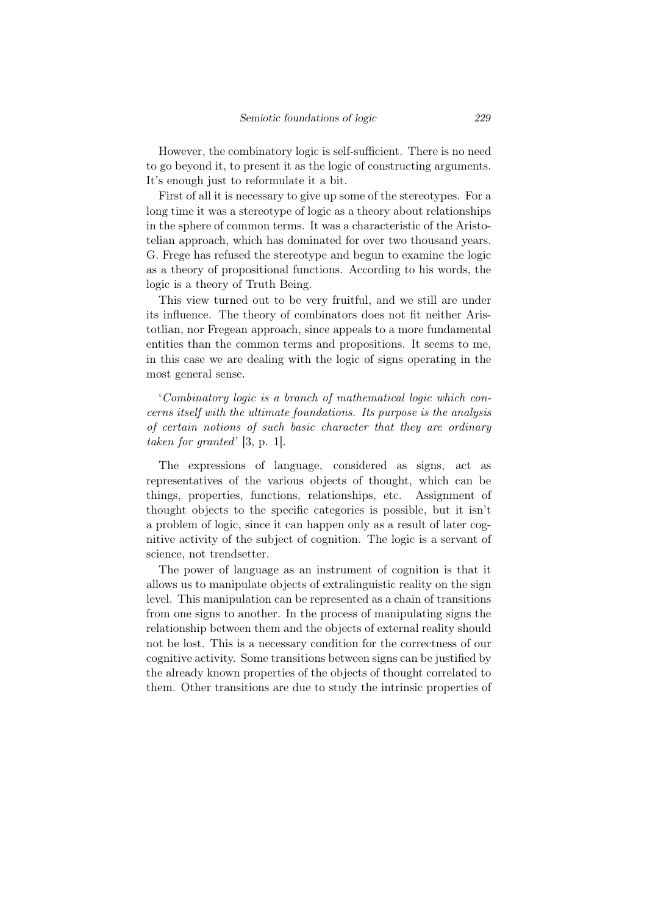However, the combinatory logic is self-sufficient. There is no need to go beyond it, to present it as the logic of constructing arguments. It's enough just to reformulate it a bit.

First of all it is necessary to give up some of the stereotypes. For a long time it was a stereotype of logic as a theory about relationships in the sphere of common terms. It was a characteristic of the Aristotelian approach, which has dominated for over two thousand years. G. Frege has refused the stereotype and begun to examine the logic as a theory of propositional functions. According to his words, the logic is a theory of Truth Being.

This view turned out to be very fruitful, and we still are under its influence. The theory of combinators does not fit neither Aristotlian, nor Fregean approach, since appeals to a more fundamental entities than the common terms and propositions. It seems to me, in this case we are dealing with the logic of signs operating in the most general sense.

'*Combinatory logic is a branch of mathematical logic which concerns itself with the ultimate foundations. Its purpose is the analysis of certain notions of such basic character that they are ordinary taken for granted*' [3, p. 1].

The expressions of language, considered as signs, act as representatives of the various objects of thought, which can be things, properties, functions, relationships, etc. Assignment of thought objects to the specific categories is possible, but it isn't a problem of logic, since it can happen only as a result of later cognitive activity of the subject of cognition. The logic is a servant of science, not trendsetter.

The power of language as an instrument of cognition is that it allows us to manipulate objects of extralinguistic reality on the sign level. This manipulation can be represented as a chain of transitions from one signs to another. In the process of manipulating signs the relationship between them and the objects of external reality should not be lost. This is a necessary condition for the correctness of our cognitive activity. Some transitions between signs can be justified by the already known properties of the objects of thought correlated to them. Other transitions are due to study the intrinsic properties of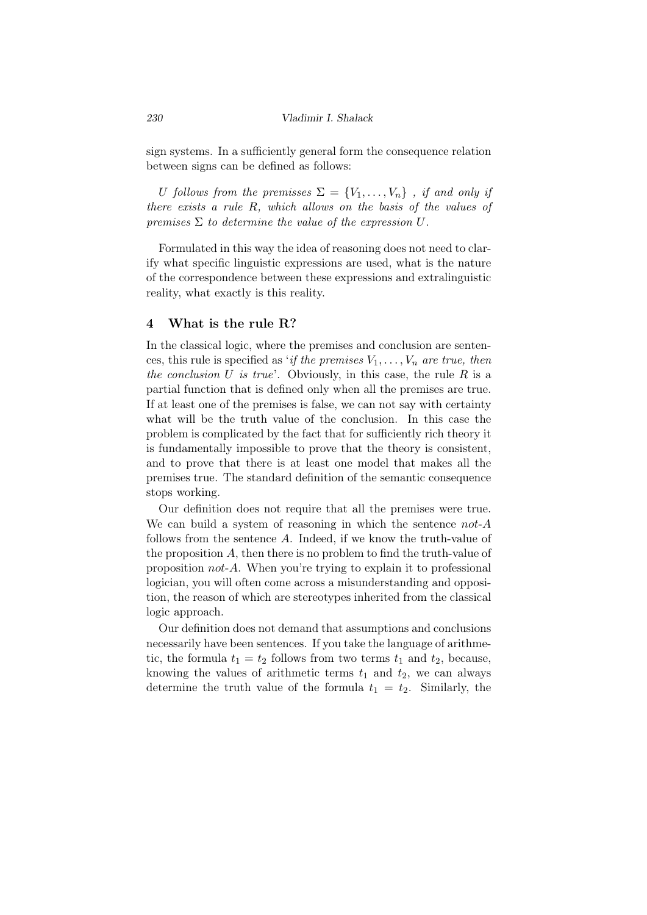sign systems. In a sufficiently general form the consequence relation between signs can be defined as follows:

*U follows from the premisses*  $\Sigma = \{V_1, \ldots, V_n\}$ , *if and only if there exists a rule R, which allows on the basis of the values of premises*  $\Sigma$  *to determine the value of the expression*  $U$ .

Formulated in this way the idea of reasoning does not need to clarify what specific linguistic expressions are used, what is the nature of the correspondence between these expressions and extralinguistic reality, what exactly is this reality.

## 4 What is the rule R?

In the classical logic, where the premises and conclusion are sentences, this rule is specified as '*if the premises*  $V_1, \ldots, V_n$  *are true, then the conclusion U is true*'. Obviously, in this case, the rule *R* is a partial function that is defined only when all the premises are true. If at least one of the premises is false, we can not say with certainty what will be the truth value of the conclusion. In this case the problem is complicated by the fact that for sufficiently rich theory it is fundamentally impossible to prove that the theory is consistent, and to prove that there is at least one model that makes all the premises true. The standard definition of the semantic consequence stops working.

Our definition does not require that all the premises were true. We can build a system of reasoning in which the sentence *not*-*A* follows from the sentence *A*. Indeed, if we know the truth-value of the proposition *A*, then there is no problem to find the truth-value of proposition *not*-*A*. When you're trying to explain it to professional logician, you will often come across a misunderstanding and opposition, the reason of which are stereotypes inherited from the classical logic approach.

Our definition does not demand that assumptions and conclusions necessarily have been sentences. If you take the language of arithmetic, the formula  $t_1 = t_2$  follows from two terms  $t_1$  and  $t_2$ , because, knowing the values of arithmetic terms  $t_1$  and  $t_2$ , we can always determine the truth value of the formula  $t_1 = t_2$ . Similarly, the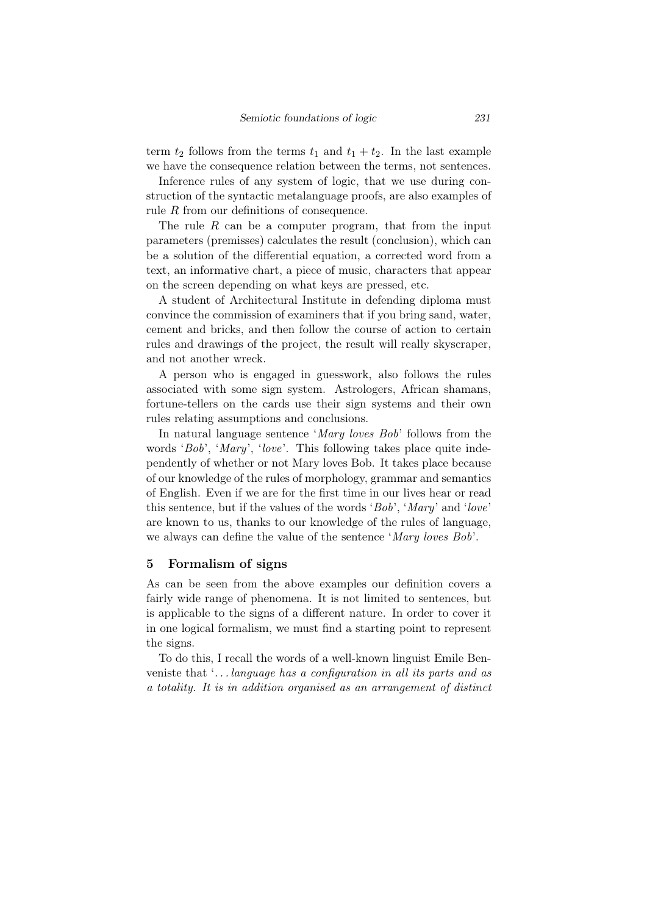term  $t_2$  follows from the terms  $t_1$  and  $t_1 + t_2$ . In the last example we have the consequence relation between the terms, not sentences.

Inference rules of any system of logic, that we use during construction of the syntactic metalanguage proofs, are also examples of rule *R* from our definitions of consequence.

The rule R can be a computer program, that from the input parameters (premisses) calculates the result (conclusion), which can be a solution of the differential equation, a corrected word from a text, an informative chart, a piece of music, characters that appear on the screen depending on what keys are pressed, etc.

A student of Architectural Institute in defending diploma must convince the commission of examiners that if you bring sand, water, cement and bricks, and then follow the course of action to certain rules and drawings of the project, the result will really skyscraper, and not another wreck.

A person who is engaged in guesswork, also follows the rules associated with some sign system. Astrologers, African shamans, fortune-tellers on the cards use their sign systems and their own rules relating assumptions and conclusions.

In natural language sentence '*Mary loves Bob*' follows from the words '*Bob*', '*Mary*', '*love*'. This following takes place quite independently of whether or not Mary loves Bob. It takes place because of our knowledge of the rules of morphology, grammar and semantics of English. Even if we are for the first time in our lives hear or read this sentence, but if the values of the words '*Bob*', '*Mary*' and '*love*' are known to us, thanks to our knowledge of the rules of language, we always can define the value of the sentence '*Mary loves Bob*'.

## 5 Formalism of signs

As can be seen from the above examples our definition covers a fairly wide range of phenomena. It is not limited to sentences, but is applicable to the signs of a different nature. In order to cover it in one logical formalism, we must find a starting point to represent the signs.

To do this, I recall the words of a well-known linguist Emile Benveniste that '*. . . language has a configuration in all its parts and as a totality. It is in addition organised as an arrangement of distinct*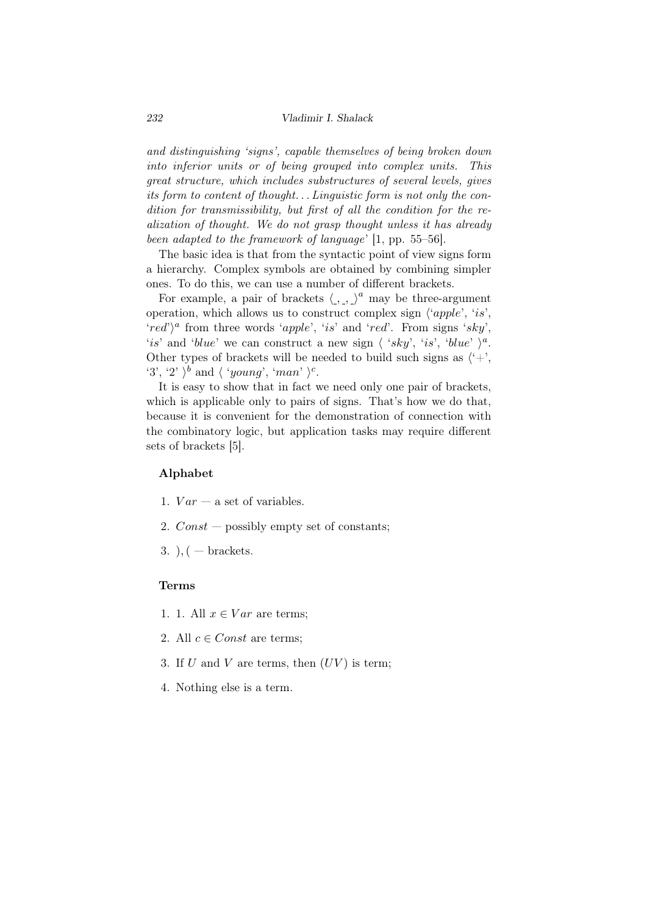*and distinguishing 'signs', capable themselves of being broken down into inferior units or of being grouped into complex units. This great structure, which includes substructures of several levels, gives its form to content of thought. . . Linguistic form is not only the condition for transmissibility, but first of all the condition for the realization of thought. We do not grasp thought unless it has already been adapted to the framework of language*' [1, pp. 55–56].

The basic idea is that from the syntactic point of view signs form a hierarchy. Complex symbols are obtained by combining simpler ones. To do this, we can use a number of different brackets.

For example, a pair of brackets  $\langle , , \rangle^a$  may be three-argument operation, which allows us to construct complex sign *⟨*'*apple*', '*is*',  $\langle red \rangle^a$  from three words  $\langle apple', 'is'$  and  $\langle red'.$  From signs  $\langle sky',$ '*is*' and '*blue*' we can construct a new sign  $\langle$  '*sky*', '*is*', '*blue*'  $\rangle$ <sup>*a*</sup>. Other types of brackets will be needed to build such signs as  $\langle \hat{z}^2 + \hat{z}^2 \rangle$ '3', '2'  $\rangle^b$  and  $\langle$  '*young*', '*man*'  $\rangle^c$ .

It is easy to show that in fact we need only one pair of brackets, which is applicable only to pairs of signs. That's how we do that, because it is convenient for the demonstration of connection with the combinatory logic, but application tasks may require different sets of brackets [5].

# Alphabet

- 1.  $Var a$  set of variables.
- 2. *Const* possibly empty set of constants;
- 3. )*,*( brackets.

#### Terms

- 1. 1. All  $x \in Var$  are terms;
- 2. All  $c \in Const$  are terms;
- 3. If  $U$  and  $V$  are terms, then  $(UV)$  is term;
- 4. Nothing else is a term.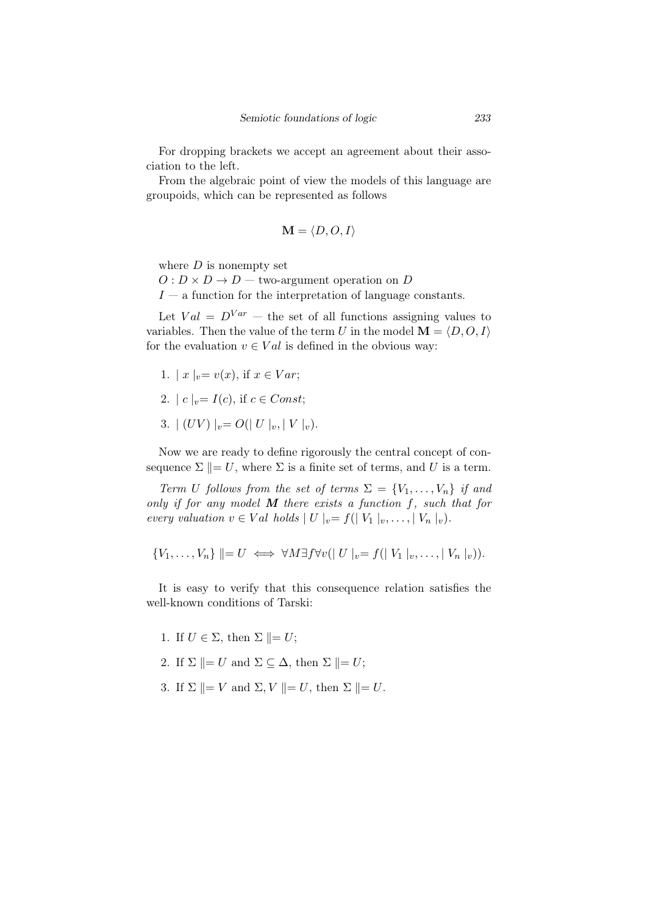For dropping brackets we accept an agreement about their association to the left.

From the algebraic point of view the models of this language are groupoids, which can be represented as follows

$$
\mathbf{M} = \langle D, O, I \rangle
$$

where  $D$  is nonempty set

 $O: D \times D \rightarrow D$  — two-argument operation on *D* 

*I* — a function for the interpretation of language constants.

Let  $Val = D^{Var}$  — the set of all functions assigning values to variables. Then the value of the term *U* in the model  $\mathbf{M} = \langle D, O, I \rangle$ for the evaluation  $v \in Val$  is defined in the obvious way:

- 1.  $|x|_{v} = v(x)$ , if  $x \in Var$ ;
- 2.  $|c|_{v} = I(c)$ , if  $c \in Const$ ;
- 3.  $| (UV) |_{v} = O(|U|_{v}, |V|_{v}).$

Now we are ready to define rigorously the central concept of consequence  $\Sigma \parallel = U$ , where  $\Sigma$  is a finite set of terms, and *U* is a term.

*Term U follows from the set of terms*  $\Sigma = \{V_1, \ldots, V_n\}$  *if and only if for any model M there exists a function f, such that for every valuation*  $v \in Val$  *holds*  $|U|_v = f(|V_1|_v, \ldots, |V_n|_v).$ 

$$
\{V_1,\ldots,V_n\}\parallel=U\iff\forall M\exists f\forall v(|U|_v=f(|V_1|_v,\ldots,|V_n|_v)).
$$

It is easy to verify that this consequence relation satisfies the well-known conditions of Tarski:

- 1. If  $U \in \Sigma$ , then  $\Sigma \parallel = U$ ;
- 2. If  $\Sigma$   $\parallel$  = *U* and  $\Sigma \subseteq \Delta$ , then  $\Sigma$   $\parallel$  = *U*;
- 3. If  $\Sigma$   $\| = V$  and  $\Sigma$ ,  $V$   $\| = U$ , then  $\Sigma$   $\| = U$ .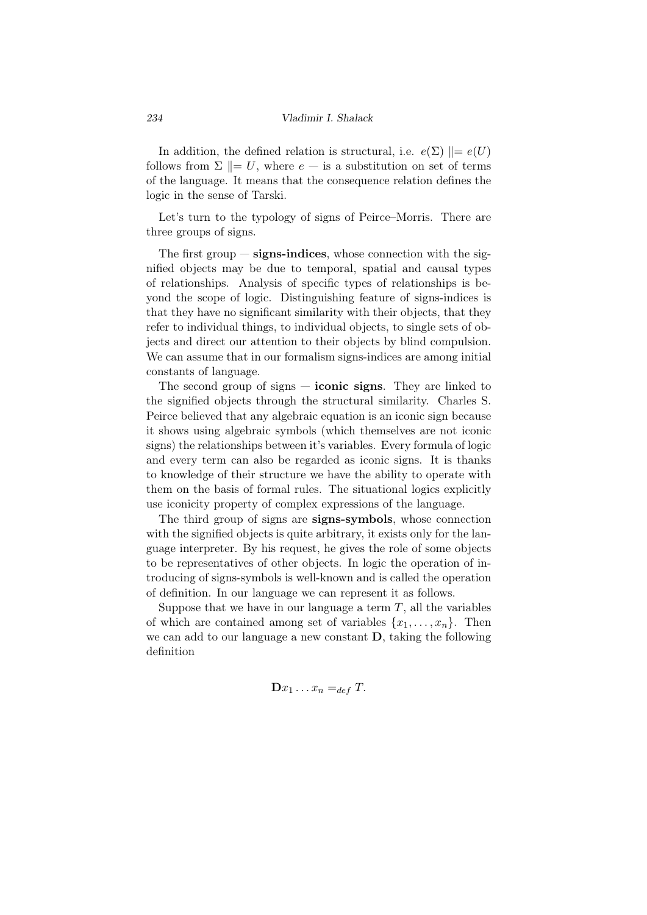In addition, the defined relation is structural, i.e.  $e(\Sigma)$   $\parallel = e(U)$ follows from  $\Sigma \parallel = U$ , where  $e - i$  is a substitution on set of terms of the language. It means that the consequence relation defines the logic in the sense of Tarski.

Let's turn to the typology of signs of Peirce–Morris. There are three groups of signs.

The first group  $-\frac{signs\text{-indices}}{sims\text{-series}}$ , whose connection with the signified objects may be due to temporal, spatial and causal types of relationships. Analysis of specific types of relationships is beyond the scope of logic. Distinguishing feature of signs-indices is that they have no significant similarity with their objects, that they refer to individual things, to individual objects, to single sets of objects and direct our attention to their objects by blind compulsion. We can assume that in our formalism signs-indices are among initial constants of language.

The second group of signs  $-$  **iconic signs**. They are linked to the signified objects through the structural similarity. Charles S. Peirce believed that any algebraic equation is an iconic sign because it shows using algebraic symbols (which themselves are not iconic signs) the relationships between it's variables. Every formula of logic and every term can also be regarded as iconic signs. It is thanks to knowledge of their structure we have the ability to operate with them on the basis of formal rules. The situational logics explicitly use iconicity property of complex expressions of the language.

The third group of signs are **signs-symbols**, whose connection with the signified objects is quite arbitrary, it exists only for the language interpreter. By his request, he gives the role of some objects to be representatives of other objects. In logic the operation of introducing of signs-symbols is well-known and is called the operation of definition. In our language we can represent it as follows.

Suppose that we have in our language a term *T*, all the variables of which are contained among set of variables  $\{x_1, \ldots, x_n\}$ . Then we can add to our language a new constant D, taking the following definition

 $\mathbf{D}x_1 \ldots x_n =_{def} T.$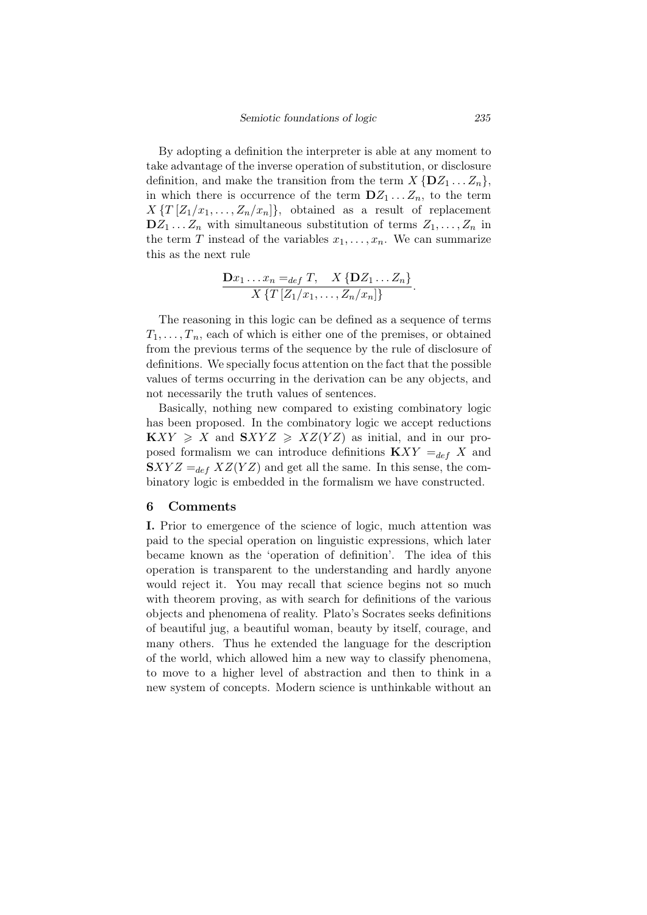By adopting a definition the interpreter is able at any moment to take advantage of the inverse operation of substitution, or disclosure definition, and make the transition from the term  $X \{DZ_1 \ldots Z_n\}$ , in which there is occurrence of the term  $DZ_1 \ldots Z_n$ , to the term  $X \{T \mid Z_1/x_1, \ldots, Z_n/x_n\}$ , obtained as a result of replacement  $DZ_1 \ldots Z_n$  with simultaneous substitution of terms  $Z_1, \ldots, Z_n$  in the term *T* instead of the variables  $x_1, \ldots, x_n$ . We can summarize this as the next rule

$$
\frac{\mathbf{D}x_1 \ldots x_n =_{def} T, \quad X \{\mathbf{D}Z_1 \ldots Z_n\}}{X \{T \left[Z_1/x_1, \ldots, Z_n/x_n\right]\}}.
$$

The reasoning in this logic can be defined as a sequence of terms  $T_1, \ldots, T_n$ , each of which is either one of the premises, or obtained from the previous terms of the sequence by the rule of disclosure of definitions. We specially focus attention on the fact that the possible values of terms occurring in the derivation can be any objects, and not necessarily the truth values of sentences.

Basically, nothing new compared to existing combinatory logic has been proposed. In the combinatory logic we accept reductions  $\mathbf{K}XY \geqslant X$  and  $\mathbf{S}XYZ \geqslant XZ(YZ)$  as initial, and in our proposed formalism we can introduce definitions  $\mathbf{K}XY =_{def} X$  and  $SXYZ =_{def} XZ(YZ)$  and get all the same. In this sense, the combinatory logic is embedded in the formalism we have constructed.

## 6 Comments

I. Prior to emergence of the science of logic, much attention was paid to the special operation on linguistic expressions, which later became known as the 'operation of definition'. The idea of this operation is transparent to the understanding and hardly anyone would reject it. You may recall that science begins not so much with theorem proving, as with search for definitions of the various objects and phenomena of reality. Plato's Socrates seeks definitions of beautiful jug, a beautiful woman, beauty by itself, courage, and many others. Thus he extended the language for the description of the world, which allowed him a new way to classify phenomena, to move to a higher level of abstraction and then to think in a new system of concepts. Modern science is unthinkable without an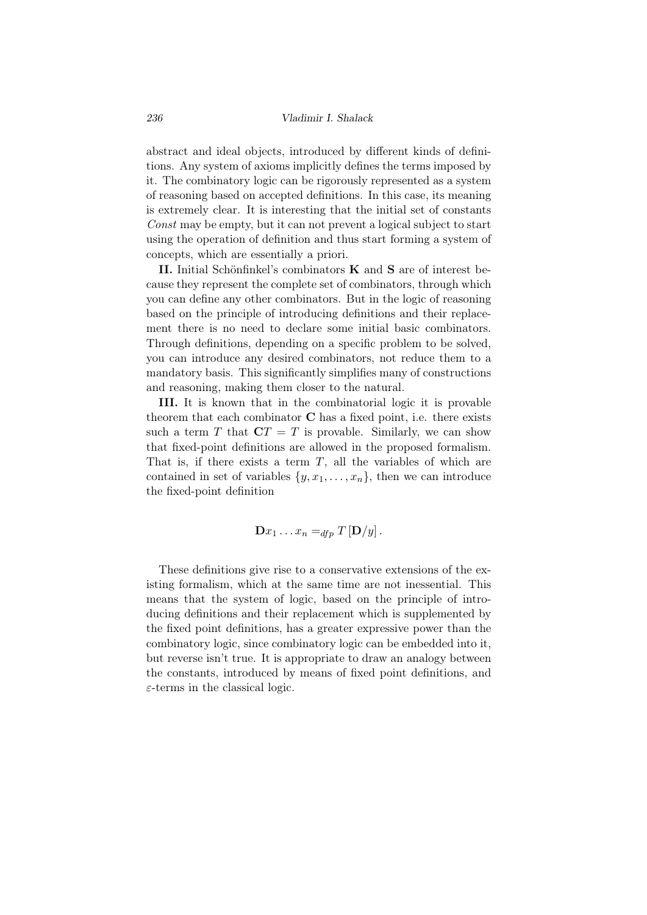abstract and ideal objects, introduced by different kinds of definitions. Any system of axioms implicitly defines the terms imposed by it. The combinatory logic can be rigorously represented as a system of reasoning based on accepted definitions. In this case, its meaning is extremely clear. It is interesting that the initial set of constants *Const* may be empty, but it can not prevent a logical subject to start using the operation of definition and thus start forming a system of concepts, which are essentially a priori.

II. Initial Schönfinkel's combinators  $K$  and  $S$  are of interest because they represent the complete set of combinators, through which you can define any other combinators. But in the logic of reasoning based on the principle of introducing definitions and their replacement there is no need to declare some initial basic combinators. Through definitions, depending on a specific problem to be solved, you can introduce any desired combinators, not reduce them to a mandatory basis. This significantly simplifies many of constructions and reasoning, making them closer to the natural.

III. It is known that in the combinatorial logic it is provable theorem that each combinator  $C$  has a fixed point, i.e. there exists such a term *T* that  $\mathbf{C}T = T$  is provable. Similarly, we can show that fixed-point definitions are allowed in the proposed formalism. That is, if there exists a term *T*, all the variables of which are contained in set of variables  $\{y, x_1, \ldots, x_n\}$ , then we can introduce the fixed-point definition

$$
\mathbf{D}x_1 \ldots x_n =_{dfp} T \left[ \mathbf{D}/y \right].
$$

These definitions give rise to a conservative extensions of the existing formalism, which at the same time are not inessential. This means that the system of logic, based on the principle of introducing definitions and their replacement which is supplemented by the fixed point definitions, has a greater expressive power than the combinatory logic, since combinatory logic can be embedded into it, but reverse isn't true. It is appropriate to draw an analogy between the constants, introduced by means of fixed point definitions, and *ε*-terms in the classical logic.